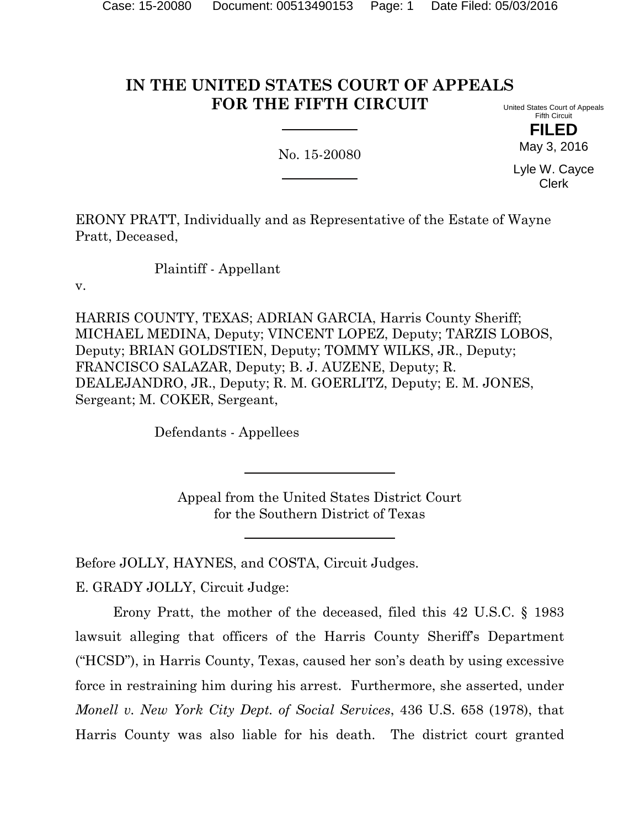# **IN THE UNITED STATES COURT OF APPEALS FOR THE FIFTH CIRCUIT**

No. 15-20080

United States Court of Appeals Fifth Circuit

> **FILED** May 3, 2016

Lyle W. Cayce Clerk

ERONY PRATT, Individually and as Representative of the Estate of Wayne Pratt, Deceased,

Plaintiff - Appellant

v.

HARRIS COUNTY, TEXAS; ADRIAN GARCIA, Harris County Sheriff; MICHAEL MEDINA, Deputy; VINCENT LOPEZ, Deputy; TARZIS LOBOS, Deputy; BRIAN GOLDSTIEN, Deputy; TOMMY WILKS, JR., Deputy; FRANCISCO SALAZAR, Deputy; B. J. AUZENE, Deputy; R. DEALEJANDRO, JR., Deputy; R. M. GOERLITZ, Deputy; E. M. JONES, Sergeant; M. COKER, Sergeant,

Defendants - Appellees

Appeal from the United States District Court for the Southern District of Texas

Before JOLLY, HAYNES, and COSTA, Circuit Judges.

E. GRADY JOLLY, Circuit Judge:

Erony Pratt, the mother of the deceased, filed this 42 U.S.C. § 1983 lawsuit alleging that officers of the Harris County Sheriff's Department ("HCSD"), in Harris County, Texas, caused her son's death by using excessive force in restraining him during his arrest. Furthermore, she asserted, under *Monell v. New York City Dept. of Social Services*, 436 U.S. 658 (1978), that Harris County was also liable for his death. The district court granted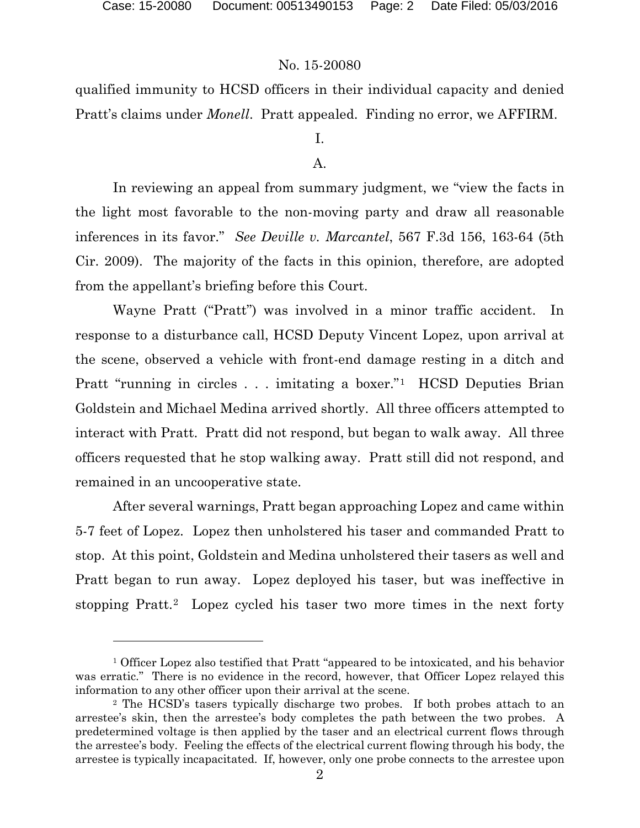## No. 15-20080

qualified immunity to HCSD officers in their individual capacity and denied Pratt's claims under *Monell*. Pratt appealed. Finding no error, we AFFIRM.

# I.

## A.

In reviewing an appeal from summary judgment, we "view the facts in the light most favorable to the non-moving party and draw all reasonable inferences in its favor." *See Deville v. Marcantel*, 567 F.3d 156, 163-64 (5th Cir. 2009). The majority of the facts in this opinion, therefore, are adopted from the appellant's briefing before this Court.

Wayne Pratt ("Pratt") was involved in a minor traffic accident. In response to a disturbance call, HCSD Deputy Vincent Lopez, upon arrival at the scene, observed a vehicle with front-end damage resting in a ditch and Pratt "running in circles . . . imitating a boxer."[1](#page-1-0) HCSD Deputies Brian Goldstein and Michael Medina arrived shortly. All three officers attempted to interact with Pratt. Pratt did not respond, but began to walk away. All three officers requested that he stop walking away. Pratt still did not respond, and remained in an uncooperative state.

After several warnings, Pratt began approaching Lopez and came within 5-7 feet of Lopez. Lopez then unholstered his taser and commanded Pratt to stop. At this point, Goldstein and Medina unholstered their tasers as well and Pratt began to run away. Lopez deployed his taser, but was ineffective in stopping Pratt.[2](#page-1-1) Lopez cycled his taser two more times in the next forty

<span id="page-1-0"></span><sup>&</sup>lt;sup>1</sup> Officer Lopez also testified that Pratt "appeared to be intoxicated, and his behavior was erratic." There is no evidence in the record, however, that Officer Lopez relayed this information to any other officer upon their arrival at the scene.<br><sup>2</sup> The HCSD's tasers typically discharge two probes. If both probes attach to an

<span id="page-1-1"></span>arrestee's skin, then the arrestee's body completes the path between the two probes. A predetermined voltage is then applied by the taser and an electrical current flows through the arrestee's body. Feeling the effects of the electrical current flowing through his body, the arrestee is typically incapacitated. If, however, only one probe connects to the arrestee upon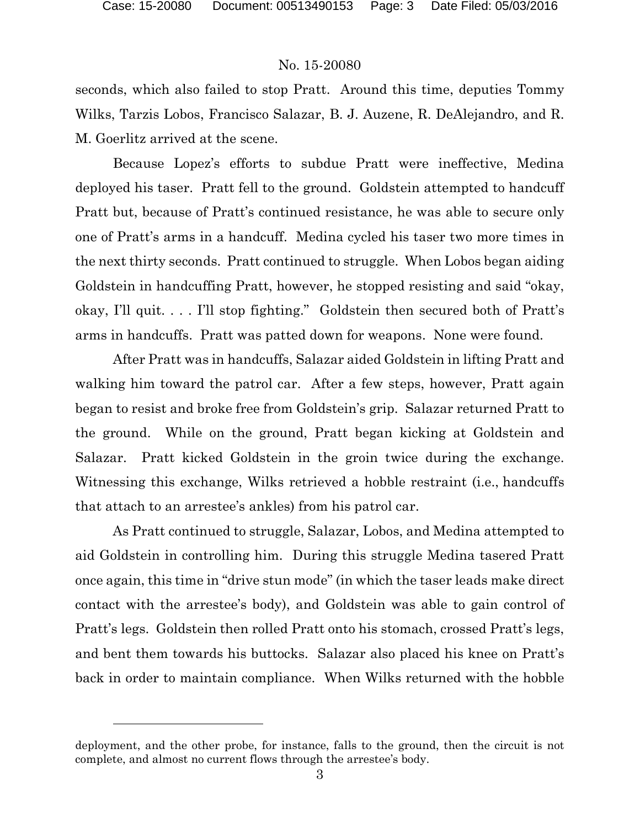l

## No. 15-20080

seconds, which also failed to stop Pratt. Around this time, deputies Tommy Wilks, Tarzis Lobos, Francisco Salazar, B. J. Auzene, R. DeAlejandro, and R. M. Goerlitz arrived at the scene.

Because Lopez's efforts to subdue Pratt were ineffective, Medina deployed his taser. Pratt fell to the ground. Goldstein attempted to handcuff Pratt but, because of Pratt's continued resistance, he was able to secure only one of Pratt's arms in a handcuff. Medina cycled his taser two more times in the next thirty seconds. Pratt continued to struggle. When Lobos began aiding Goldstein in handcuffing Pratt, however, he stopped resisting and said "okay, okay, I'll quit. . . . I'll stop fighting." Goldstein then secured both of Pratt's arms in handcuffs. Pratt was patted down for weapons. None were found.

After Pratt was in handcuffs, Salazar aided Goldstein in lifting Pratt and walking him toward the patrol car. After a few steps, however, Pratt again began to resist and broke free from Goldstein's grip. Salazar returned Pratt to the ground. While on the ground, Pratt began kicking at Goldstein and Salazar. Pratt kicked Goldstein in the groin twice during the exchange. Witnessing this exchange, Wilks retrieved a hobble restraint (i.e., handcuffs that attach to an arrestee's ankles) from his patrol car.

As Pratt continued to struggle, Salazar, Lobos, and Medina attempted to aid Goldstein in controlling him. During this struggle Medina tasered Pratt once again, this time in "drive stun mode" (in which the taser leads make direct contact with the arrestee's body), and Goldstein was able to gain control of Pratt's legs. Goldstein then rolled Pratt onto his stomach, crossed Pratt's legs, and bent them towards his buttocks. Salazar also placed his knee on Pratt's back in order to maintain compliance. When Wilks returned with the hobble

deployment, and the other probe, for instance, falls to the ground, then the circuit is not complete, and almost no current flows through the arrestee's body.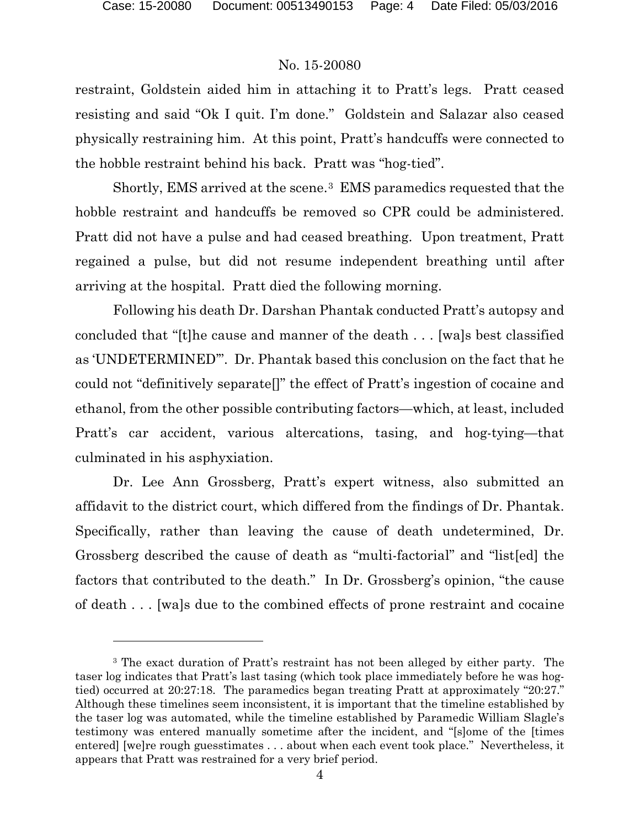## No. 15-20080

restraint, Goldstein aided him in attaching it to Pratt's legs. Pratt ceased resisting and said "Ok I quit. I'm done." Goldstein and Salazar also ceased physically restraining him. At this point, Pratt's handcuffs were connected to the hobble restraint behind his back. Pratt was "hog-tied".

Shortly, EMS arrived at the scene.[3](#page-3-0) EMS paramedics requested that the hobble restraint and handcuffs be removed so CPR could be administered. Pratt did not have a pulse and had ceased breathing. Upon treatment, Pratt regained a pulse, but did not resume independent breathing until after arriving at the hospital. Pratt died the following morning.

Following his death Dr. Darshan Phantak conducted Pratt's autopsy and concluded that "[t]he cause and manner of the death . . . [wa]s best classified as 'UNDETERMINED'". Dr. Phantak based this conclusion on the fact that he could not "definitively separate[]" the effect of Pratt's ingestion of cocaine and ethanol, from the other possible contributing factors—which, at least, included Pratt's car accident, various altercations, tasing, and hog-tying—that culminated in his asphyxiation.

Dr. Lee Ann Grossberg, Pratt's expert witness, also submitted an affidavit to the district court, which differed from the findings of Dr. Phantak. Specifically, rather than leaving the cause of death undetermined, Dr. Grossberg described the cause of death as "multi-factorial" and "list[ed] the factors that contributed to the death." In Dr. Grossberg's opinion, "the cause of death . . . [wa]s due to the combined effects of prone restraint and cocaine

<span id="page-3-0"></span><sup>3</sup> The exact duration of Pratt's restraint has not been alleged by either party. The taser log indicates that Pratt's last tasing (which took place immediately before he was hogtied) occurred at 20:27:18. The paramedics began treating Pratt at approximately "20:27." Although these timelines seem inconsistent, it is important that the timeline established by the taser log was automated, while the timeline established by Paramedic William Slagle's testimony was entered manually sometime after the incident, and "[s]ome of the [times entered] [we]re rough guesstimates . . . about when each event took place." Nevertheless, it appears that Pratt was restrained for a very brief period.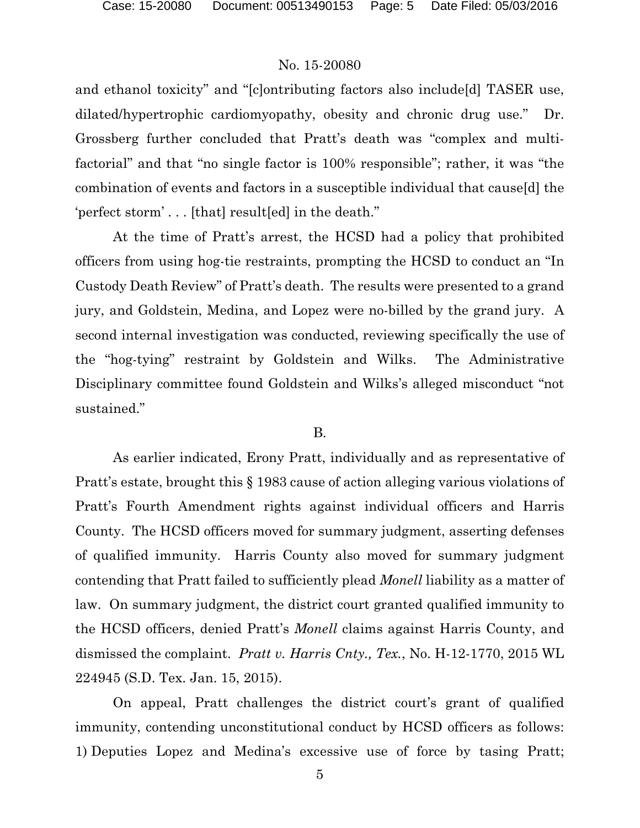and ethanol toxicity" and "[c]ontributing factors also include[d] TASER use, dilated/hypertrophic cardiomyopathy, obesity and chronic drug use." Dr. Grossberg further concluded that Pratt's death was "complex and multifactorial" and that "no single factor is 100% responsible"; rather, it was "the combination of events and factors in a susceptible individual that cause[d] the 'perfect storm' . . . [that] result[ed] in the death."

At the time of Pratt's arrest, the HCSD had a policy that prohibited officers from using hog-tie restraints, prompting the HCSD to conduct an "In Custody Death Review" of Pratt's death. The results were presented to a grand jury, and Goldstein, Medina, and Lopez were no-billed by the grand jury. A second internal investigation was conducted, reviewing specifically the use of the "hog-tying" restraint by Goldstein and Wilks. The Administrative Disciplinary committee found Goldstein and Wilks's alleged misconduct "not sustained."

#### B.

As earlier indicated, Erony Pratt, individually and as representative of Pratt's estate, brought this § 1983 cause of action alleging various violations of Pratt's Fourth Amendment rights against individual officers and Harris County. The HCSD officers moved for summary judgment, asserting defenses of qualified immunity. Harris County also moved for summary judgment contending that Pratt failed to sufficiently plead *Monell* liability as a matter of law. On summary judgment, the district court granted qualified immunity to the HCSD officers, denied Pratt's *Monell* claims against Harris County, and dismissed the complaint. *Pratt v. Harris Cnty., Tex.*, No. H-12-1770, 2015 WL 224945 (S.D. Tex. Jan. 15, 2015).

On appeal, Pratt challenges the district court's grant of qualified immunity, contending unconstitutional conduct by HCSD officers as follows: 1) Deputies Lopez and Medina's excessive use of force by tasing Pratt;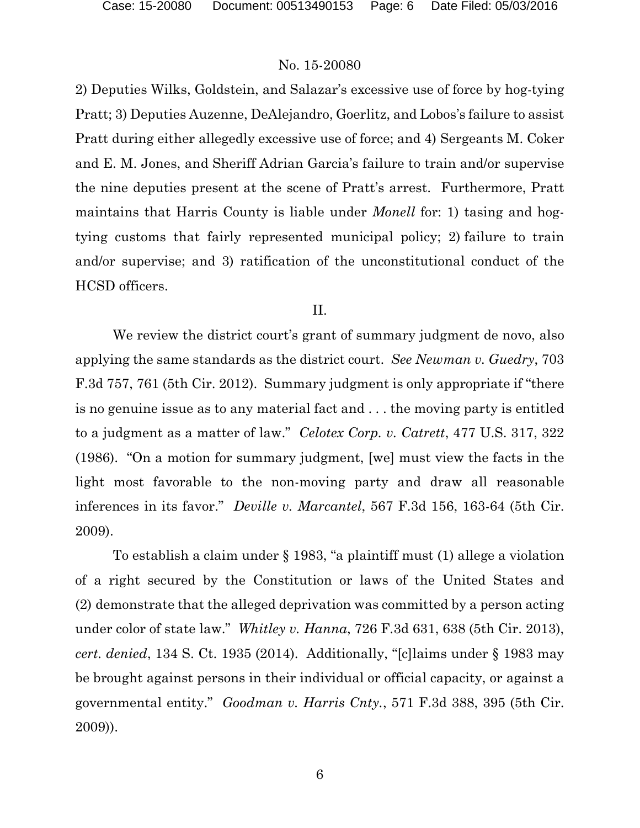2) Deputies Wilks, Goldstein, and Salazar's excessive use of force by hog-tying Pratt; 3) Deputies Auzenne, DeAlejandro, Goerlitz, and Lobos's failure to assist Pratt during either allegedly excessive use of force; and 4) Sergeants M. Coker and E. M. Jones, and Sheriff Adrian Garcia's failure to train and/or supervise the nine deputies present at the scene of Pratt's arrest. Furthermore, Pratt maintains that Harris County is liable under *Monell* for: 1) tasing and hogtying customs that fairly represented municipal policy; 2) failure to train and/or supervise; and 3) ratification of the unconstitutional conduct of the HCSD officers.

#### II.

We review the district court's grant of summary judgment de novo, also applying the same standards as the district court. *See Newman v. Guedry*, 703 F.3d 757, 761 (5th Cir. 2012). Summary judgment is only appropriate if "there is no genuine issue as to any material fact and . . . the moving party is entitled to a judgment as a matter of law." *Celotex Corp. v. Catrett*, 477 U.S. 317, 322 (1986). "On a motion for summary judgment, [we] must view the facts in the light most favorable to the non-moving party and draw all reasonable inferences in its favor." *Deville v. Marcantel*, 567 F.3d 156, 163-64 (5th Cir. 2009).

To establish a claim under § 1983, "a plaintiff must (1) allege a violation of a right secured by the Constitution or laws of the United States and (2) demonstrate that the alleged deprivation was committed by a person acting under color of state law." *Whitley v. Hanna*, 726 F.3d 631, 638 (5th Cir. 2013), *cert. denied*, 134 S. Ct. 1935 (2014). Additionally, "[c]laims under § 1983 may be brought against persons in their individual or official capacity, or against a governmental entity." *Goodman v. Harris Cnty.*, 571 F.3d 388, 395 (5th Cir. 2009)).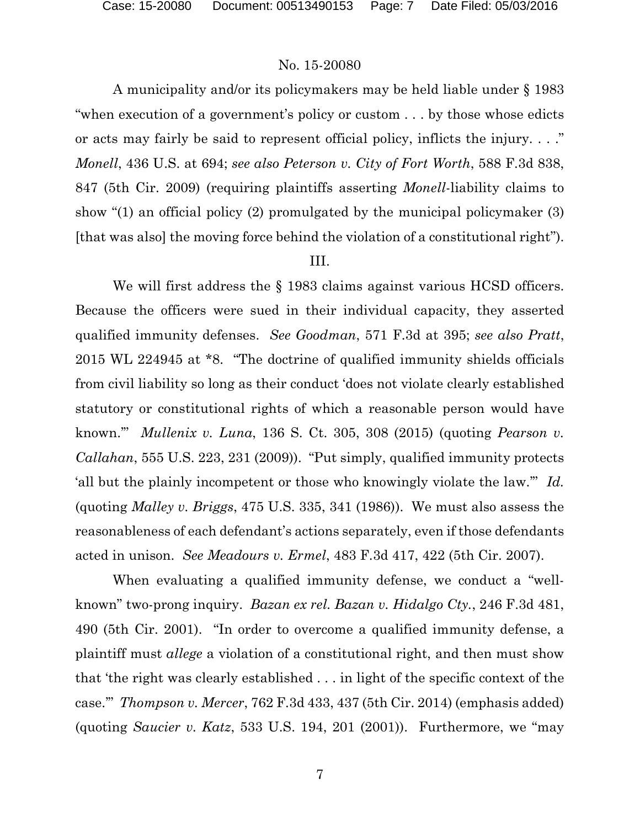A municipality and/or its policymakers may be held liable under § 1983 "when execution of a government's policy or custom . . . by those whose edicts or acts may fairly be said to represent official policy, inflicts the injury. . . ." *Monell*, 436 U.S. at 694; *see also Peterson v. City of Fort Worth*, 588 F.3d 838, 847 (5th Cir. 2009) (requiring plaintiffs asserting *Monell*-liability claims to show "(1) an official policy (2) promulgated by the municipal policymaker (3) [that was also] the moving force behind the violation of a constitutional right").

## III.

We will first address the § 1983 claims against various HCSD officers. Because the officers were sued in their individual capacity, they asserted qualified immunity defenses. *See Goodman*, 571 F.3d at 395; *see also Pratt*, 2015 WL 224945 at \*8. "The doctrine of qualified immunity shields officials from civil liability so long as their conduct 'does not violate clearly established statutory or constitutional rights of which a reasonable person would have known.'" *Mullenix v. Luna*, 136 S. Ct. 305, 308 (2015) (quoting *Pearson v. Callahan*, 555 U.S. 223, 231 (2009)). "Put simply, qualified immunity protects 'all but the plainly incompetent or those who knowingly violate the law.'" *Id.* (quoting *Malley v. Briggs*, 475 U.S. 335, 341 (1986)). We must also assess the reasonableness of each defendant's actions separately, even if those defendants acted in unison. *See Meadours v. Ermel*, 483 F.3d 417, 422 (5th Cir. 2007).

When evaluating a qualified immunity defense, we conduct a "wellknown" two-prong inquiry. *Bazan ex rel. Bazan v. Hidalgo Cty.*, 246 F.3d 481, 490 (5th Cir. 2001). "In order to overcome a qualified immunity defense, a plaintiff must *allege* a violation of a constitutional right, and then must show that 'the right was clearly established . . . in light of the specific context of the case.'" *Thompson v. Mercer*, 762 F.3d 433, 437 (5th Cir. 2014) (emphasis added) (quoting *Saucier v. Katz*, 533 U.S. 194, 201 (2001)). Furthermore, we "may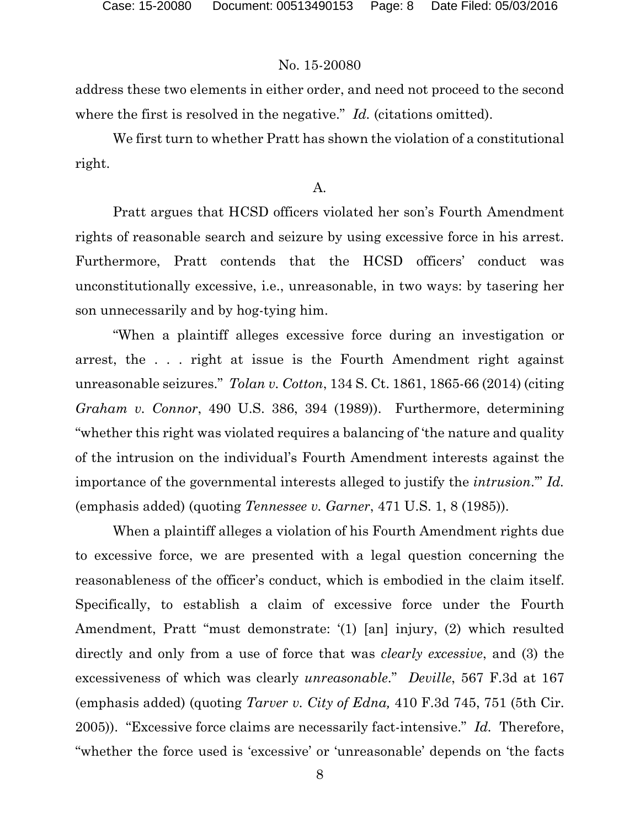address these two elements in either order, and need not proceed to the second where the first is resolved in the negative." *Id.* (citations omitted).

We first turn to whether Pratt has shown the violation of a constitutional right.

## A.

Pratt argues that HCSD officers violated her son's Fourth Amendment rights of reasonable search and seizure by using excessive force in his arrest. Furthermore, Pratt contends that the HCSD officers' conduct was unconstitutionally excessive, i.e., unreasonable, in two ways: by tasering her son unnecessarily and by hog-tying him.

"When a plaintiff alleges excessive force during an investigation or arrest, the . . . right at issue is the Fourth Amendment right against unreasonable seizures." *Tolan v. Cotton*, 134 S. Ct. 1861, 1865-66 (2014) (citing *Graham v. Connor*, 490 U.S. 386, 394 (1989)). Furthermore, determining "whether this right was violated requires a balancing of 'the nature and quality of the intrusion on the individual's Fourth Amendment interests against the importance of the governmental interests alleged to justify the *intrusion*.'" *Id.* (emphasis added) (quoting *Tennessee v. Garner*, 471 U.S. 1, 8 (1985)).

When a plaintiff alleges a violation of his Fourth Amendment rights due to excessive force, we are presented with a legal question concerning the reasonableness of the officer's conduct, which is embodied in the claim itself. Specifically, to establish a claim of excessive force under the Fourth Amendment, Pratt "must demonstrate: '(1) [an] injury, (2) which resulted directly and only from a use of force that was *clearly excessive*, and (3) the excessiveness of which was clearly *unreasonable*." *Deville*, 567 F.3d at 167 (emphasis added) (quoting *Tarver v. City of Edna,* 410 F.3d 745, 751 (5th Cir. 2005)). "Excessive force claims are necessarily fact-intensive." *Id.* Therefore, "whether the force used is 'excessive' or 'unreasonable' depends on 'the facts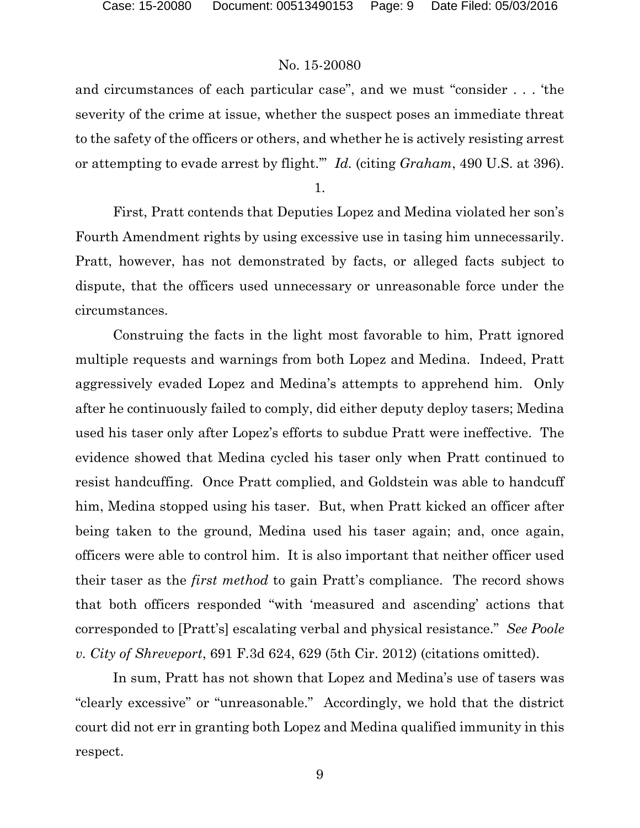and circumstances of each particular case", and we must "consider . . . 'the severity of the crime at issue, whether the suspect poses an immediate threat to the safety of the officers or others, and whether he is actively resisting arrest or attempting to evade arrest by flight.'" *Id.* (citing *Graham*, 490 U.S. at 396).

1.

First, Pratt contends that Deputies Lopez and Medina violated her son's Fourth Amendment rights by using excessive use in tasing him unnecessarily. Pratt, however, has not demonstrated by facts, or alleged facts subject to dispute, that the officers used unnecessary or unreasonable force under the circumstances.

Construing the facts in the light most favorable to him, Pratt ignored multiple requests and warnings from both Lopez and Medina. Indeed, Pratt aggressively evaded Lopez and Medina's attempts to apprehend him. Only after he continuously failed to comply, did either deputy deploy tasers; Medina used his taser only after Lopez's efforts to subdue Pratt were ineffective. The evidence showed that Medina cycled his taser only when Pratt continued to resist handcuffing. Once Pratt complied, and Goldstein was able to handcuff him, Medina stopped using his taser. But, when Pratt kicked an officer after being taken to the ground, Medina used his taser again; and, once again, officers were able to control him. It is also important that neither officer used their taser as the *first method* to gain Pratt's compliance. The record shows that both officers responded "with 'measured and ascending' actions that corresponded to [Pratt's] escalating verbal and physical resistance." *See Poole v. City of Shreveport*, 691 F.3d 624, 629 (5th Cir. 2012) (citations omitted).

In sum, Pratt has not shown that Lopez and Medina's use of tasers was "clearly excessive" or "unreasonable." Accordingly, we hold that the district court did not err in granting both Lopez and Medina qualified immunity in this respect.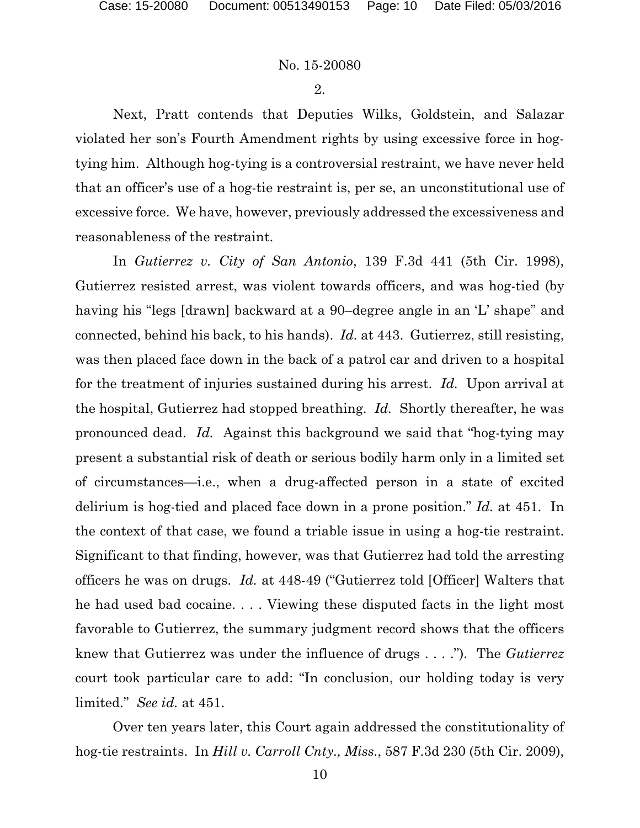2.

Next, Pratt contends that Deputies Wilks, Goldstein, and Salazar violated her son's Fourth Amendment rights by using excessive force in hogtying him. Although hog-tying is a controversial restraint, we have never held that an officer's use of a hog-tie restraint is, per se, an unconstitutional use of excessive force. We have, however, previously addressed the excessiveness and reasonableness of the restraint.

In *Gutierrez v. City of San Antonio*, 139 F.3d 441 (5th Cir. 1998), Gutierrez resisted arrest, was violent towards officers, and was hog-tied (by having his "legs [drawn] backward at a 90–degree angle in an 'L' shape" and connected, behind his back, to his hands). *Id.* at 443. Gutierrez, still resisting, was then placed face down in the back of a patrol car and driven to a hospital for the treatment of injuries sustained during his arrest. *Id.* Upon arrival at the hospital, Gutierrez had stopped breathing. *Id.* Shortly thereafter, he was pronounced dead. *Id.* Against this background we said that "hog-tying may present a substantial risk of death or serious bodily harm only in a limited set of circumstances—i.e., when a drug-affected person in a state of excited delirium is hog-tied and placed face down in a prone position." *Id.* at 451. In the context of that case, we found a triable issue in using a hog-tie restraint. Significant to that finding, however, was that Gutierrez had told the arresting officers he was on drugs. *Id.* at 448-49 ("Gutierrez told [Officer] Walters that he had used bad cocaine. . . . Viewing these disputed facts in the light most favorable to Gutierrez, the summary judgment record shows that the officers knew that Gutierrez was under the influence of drugs . . . ."). The *Gutierrez* court took particular care to add: "In conclusion, our holding today is very limited." *See id.* at 451.

Over ten years later, this Court again addressed the constitutionality of hog-tie restraints. In *Hill v. Carroll Cnty., Miss.*, 587 F.3d 230 (5th Cir. 2009),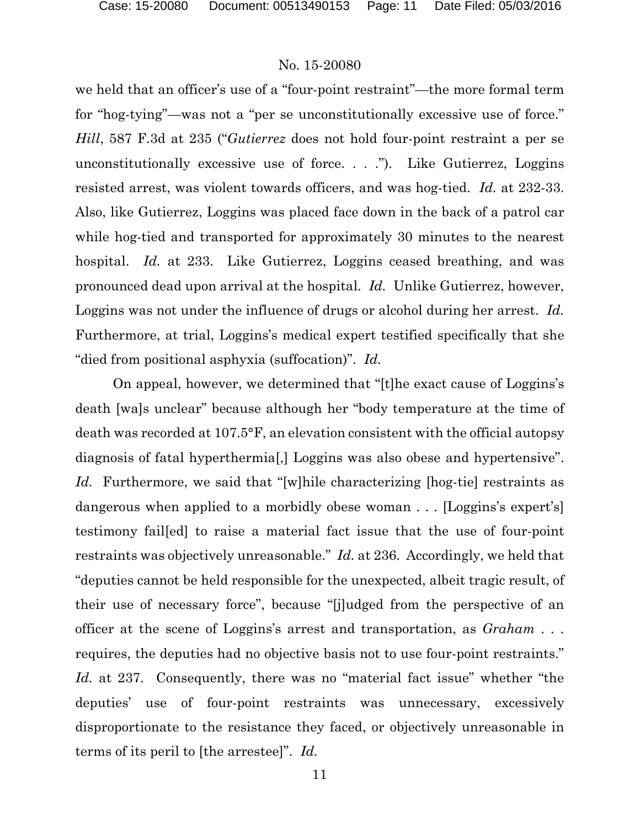we held that an officer's use of a "four-point restraint"—the more formal term for "hog-tying"—was not a "per se unconstitutionally excessive use of force." *Hill*, 587 F.3d at 235 ("*Gutierrez* does not hold four-point restraint a per se unconstitutionally excessive use of force. . . ."). Like Gutierrez, Loggins resisted arrest, was violent towards officers, and was hog-tied. *Id.* at 232-33. Also, like Gutierrez, Loggins was placed face down in the back of a patrol car while hog-tied and transported for approximately 30 minutes to the nearest hospital. *Id.* at 233. Like Gutierrez, Loggins ceased breathing, and was pronounced dead upon arrival at the hospital. *Id.* Unlike Gutierrez, however, Loggins was not under the influence of drugs or alcohol during her arrest. *Id.* Furthermore, at trial, Loggins's medical expert testified specifically that she "died from positional asphyxia (suffocation)". *Id.*

On appeal, however, we determined that "[t]he exact cause of Loggins's death [wa]s unclear" because although her "body temperature at the time of death was recorded at 107.5°F, an elevation consistent with the official autopsy diagnosis of fatal hyperthermia[,] Loggins was also obese and hypertensive". Id. Furthermore, we said that "[w]hile characterizing [hog-tie] restraints as dangerous when applied to a morbidly obese woman . . . [Loggins's expert's] testimony fail[ed] to raise a material fact issue that the use of four-point restraints was objectively unreasonable." *Id.* at 236. Accordingly, we held that "deputies cannot be held responsible for the unexpected, albeit tragic result, of their use of necessary force", because "[j]udged from the perspective of an officer at the scene of Loggins's arrest and transportation, as *Graham* . . . requires, the deputies had no objective basis not to use four-point restraints." *Id.* at 237. Consequently, there was no "material fact issue" whether "the deputies' use of four-point restraints was unnecessary, excessively disproportionate to the resistance they faced, or objectively unreasonable in terms of its peril to [the arrestee]". *Id.*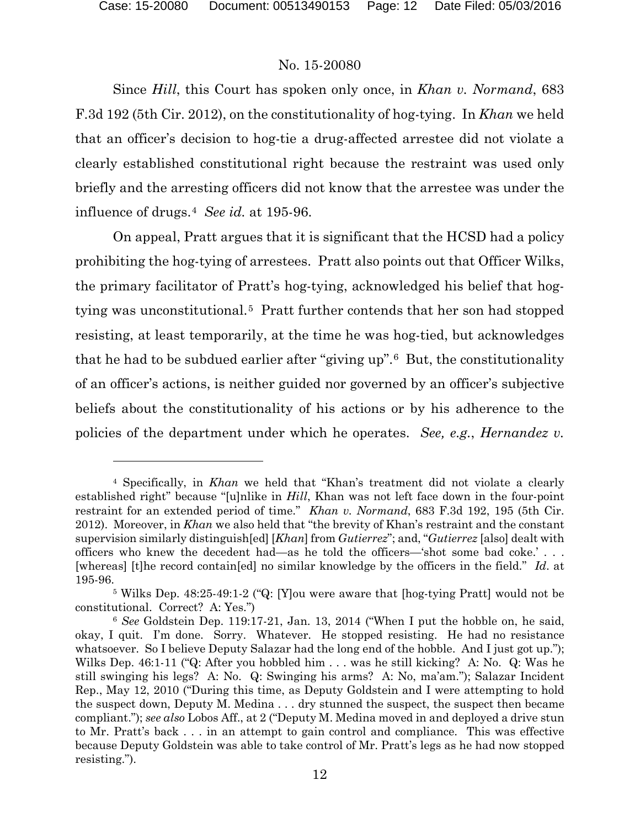## No. 15-20080

Since *Hill*, this Court has spoken only once, in *Khan v. Normand*, 683 F.3d 192 (5th Cir. 2012), on the constitutionality of hog-tying. In *Khan* we held that an officer's decision to hog-tie a drug-affected arrestee did not violate a clearly established constitutional right because the restraint was used only briefly and the arresting officers did not know that the arrestee was under the influence of drugs.[4](#page-11-0) *See id.* at 195-96.

On appeal, Pratt argues that it is significant that the HCSD had a policy prohibiting the hog-tying of arrestees. Pratt also points out that Officer Wilks, the primary facilitator of Pratt's hog-tying, acknowledged his belief that hogtying was unconstitutional.[5](#page-11-1) Pratt further contends that her son had stopped resisting, at least temporarily, at the time he was hog-tied, but acknowledges that he had to be subdued earlier after "giving up".[6](#page-11-2) But, the constitutionality of an officer's actions, is neither guided nor governed by an officer's subjective beliefs about the constitutionality of his actions or by his adherence to the policies of the department under which he operates. *See, e.g.*, *Hernandez v.* 

<span id="page-11-0"></span><sup>4</sup> Specifically, in *Khan* we held that "Khan's treatment did not violate a clearly established right" because "[u]nlike in *Hill*, Khan was not left face down in the four-point restraint for an extended period of time." *Khan v. Normand*, 683 F.3d 192, 195 (5th Cir. 2012). Moreover, in *Khan* we also held that "the brevity of Khan's restraint and the constant supervision similarly distinguish[ed] [*Khan*] from *Gutierrez*"; and, "*Gutierrez* [also] dealt with officers who knew the decedent had—as he told the officers—'shot some bad coke.' . . . [whereas] [t]he record contain[ed] no similar knowledge by the officers in the field." *Id*. at 195-96.

<span id="page-11-1"></span><sup>5</sup> Wilks Dep. 48:25-49:1-2 ("Q: [Y]ou were aware that [hog-tying Pratt] would not be constitutional. Correct? A: Yes.")

<span id="page-11-2"></span><sup>6</sup> *See* Goldstein Dep. 119:17-21, Jan. 13, 2014 ("When I put the hobble on, he said, okay, I quit. I'm done. Sorry. Whatever. He stopped resisting. He had no resistance whatsoever. So I believe Deputy Salazar had the long end of the hobble. And I just got up."); Wilks Dep. 46:1-11 ("Q: After you hobbled him . . . was he still kicking? A: No. Q: Was he still swinging his legs? A: No. Q: Swinging his arms? A: No, ma'am."); Salazar Incident Rep., May 12, 2010 ("During this time, as Deputy Goldstein and I were attempting to hold the suspect down, Deputy M. Medina . . . dry stunned the suspect, the suspect then became compliant."); *see also* Lobos Aff., at 2 ("Deputy M. Medina moved in and deployed a drive stun to Mr. Pratt's back . . . in an attempt to gain control and compliance. This was effective because Deputy Goldstein was able to take control of Mr. Pratt's legs as he had now stopped resisting.").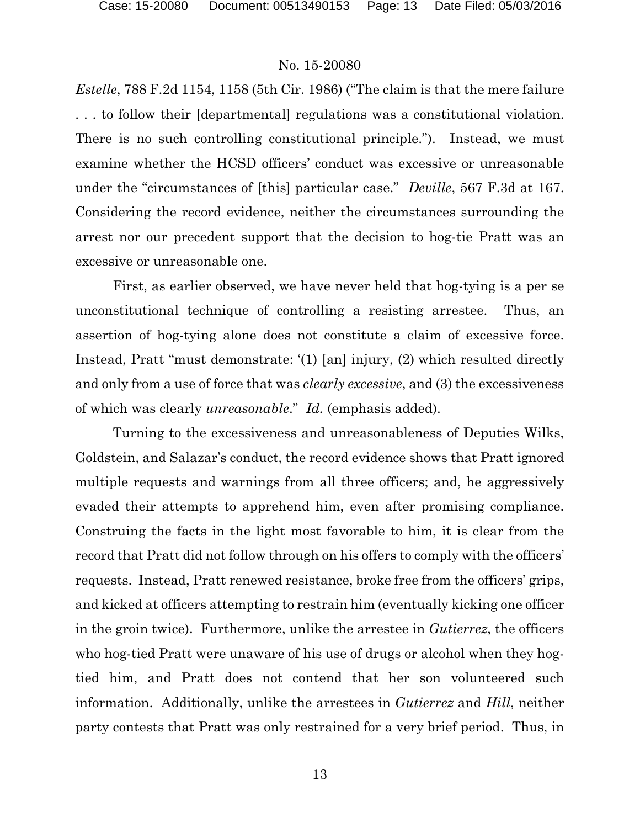*Estelle*, 788 F.2d 1154, 1158 (5th Cir. 1986) ("The claim is that the mere failure . . . to follow their [departmental] regulations was a constitutional violation. There is no such controlling constitutional principle."). Instead, we must examine whether the HCSD officers' conduct was excessive or unreasonable under the "circumstances of [this] particular case." *Deville*, 567 F.3d at 167. Considering the record evidence, neither the circumstances surrounding the arrest nor our precedent support that the decision to hog-tie Pratt was an excessive or unreasonable one.

First, as earlier observed, we have never held that hog-tying is a per se unconstitutional technique of controlling a resisting arrestee. Thus, an assertion of hog-tying alone does not constitute a claim of excessive force. Instead, Pratt "must demonstrate: '(1) [an] injury, (2) which resulted directly and only from a use of force that was *clearly excessive*, and (3) the excessiveness of which was clearly *unreasonable*." *Id.* (emphasis added).

Turning to the excessiveness and unreasonableness of Deputies Wilks, Goldstein, and Salazar's conduct, the record evidence shows that Pratt ignored multiple requests and warnings from all three officers; and, he aggressively evaded their attempts to apprehend him, even after promising compliance. Construing the facts in the light most favorable to him, it is clear from the record that Pratt did not follow through on his offers to comply with the officers' requests. Instead, Pratt renewed resistance, broke free from the officers' grips, and kicked at officers attempting to restrain him (eventually kicking one officer in the groin twice). Furthermore, unlike the arrestee in *Gutierrez*, the officers who hog-tied Pratt were unaware of his use of drugs or alcohol when they hogtied him, and Pratt does not contend that her son volunteered such information. Additionally, unlike the arrestees in *Gutierrez* and *Hill*, neither party contests that Pratt was only restrained for a very brief period. Thus, in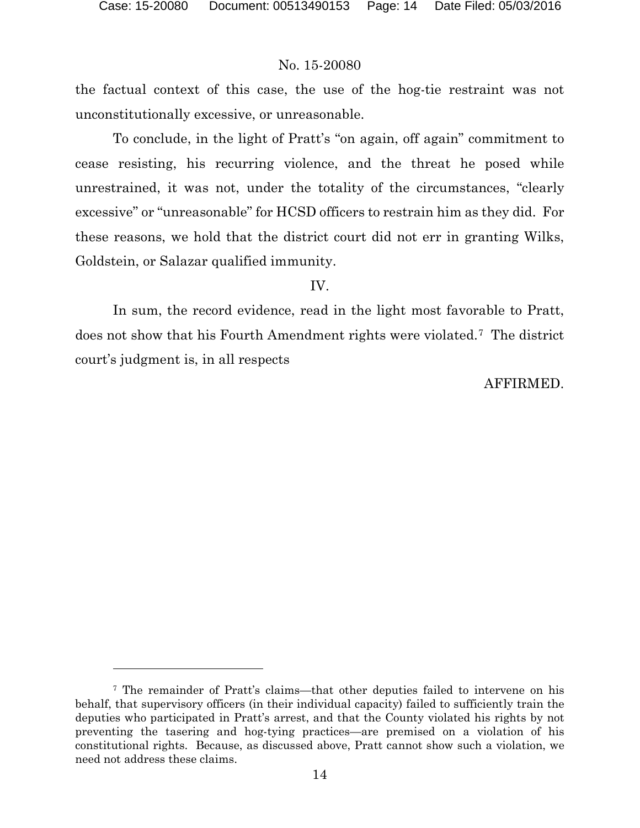### No. 15-20080

the factual context of this case, the use of the hog-tie restraint was not unconstitutionally excessive, or unreasonable.

To conclude, in the light of Pratt's "on again, off again" commitment to cease resisting, his recurring violence, and the threat he posed while unrestrained, it was not, under the totality of the circumstances, "clearly excessive" or "unreasonable" for HCSD officers to restrain him as they did. For these reasons, we hold that the district court did not err in granting Wilks, Goldstein, or Salazar qualified immunity.

#### IV.

In sum, the record evidence, read in the light most favorable to Pratt, does not show that his Fourth Amendment rights were violated.[7](#page-13-0) The district court's judgment is, in all respects

## AFFIRMED.

<span id="page-13-0"></span><sup>7</sup> The remainder of Pratt's claims—that other deputies failed to intervene on his behalf, that supervisory officers (in their individual capacity) failed to sufficiently train the deputies who participated in Pratt's arrest, and that the County violated his rights by not preventing the tasering and hog-tying practices—are premised on a violation of his constitutional rights. Because, as discussed above, Pratt cannot show such a violation, we need not address these claims.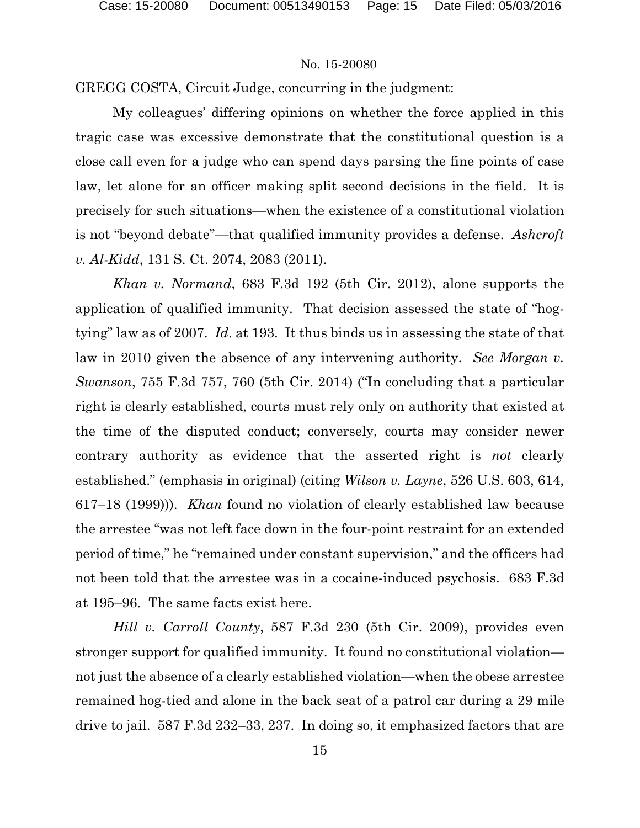GREGG COSTA, Circuit Judge, concurring in the judgment:

My colleagues' differing opinions on whether the force applied in this tragic case was excessive demonstrate that the constitutional question is a close call even for a judge who can spend days parsing the fine points of case law, let alone for an officer making split second decisions in the field. It is precisely for such situations—when the existence of a constitutional violation is not "beyond debate"—that qualified immunity provides a defense. *Ashcroft v. Al-Kidd*, 131 S. Ct. 2074, 2083 (2011).

*Khan v. Normand*, 683 F.3d 192 (5th Cir. 2012), alone supports the application of qualified immunity. That decision assessed the state of "hogtying" law as of 2007. *Id*. at 193. It thus binds us in assessing the state of that law in 2010 given the absence of any intervening authority. *See Morgan v. Swanson*, 755 F.3d 757, 760 (5th Cir. 2014) ("In concluding that a particular right is clearly established, courts must rely only on authority that existed at the time of the disputed conduct; conversely, courts may consider newer contrary authority as evidence that the asserted right is *not* clearly established." (emphasis in original) (citing *Wilson v. Layne*, 526 U.S. 603, 614, 617–18 (1999))). *Khan* found no violation of clearly established law because the arrestee "was not left face down in the four-point restraint for an extended period of time," he "remained under constant supervision," and the officers had not been told that the arrestee was in a cocaine-induced psychosis. 683 F.3d at 195–96. The same facts exist here.

*Hill v. Carroll County*, 587 F.3d 230 (5th Cir. 2009), provides even stronger support for qualified immunity. It found no constitutional violation not just the absence of a clearly established violation—when the obese arrestee remained hog-tied and alone in the back seat of a patrol car during a 29 mile drive to jail. 587 F.3d 232–33, 237. In doing so, it emphasized factors that are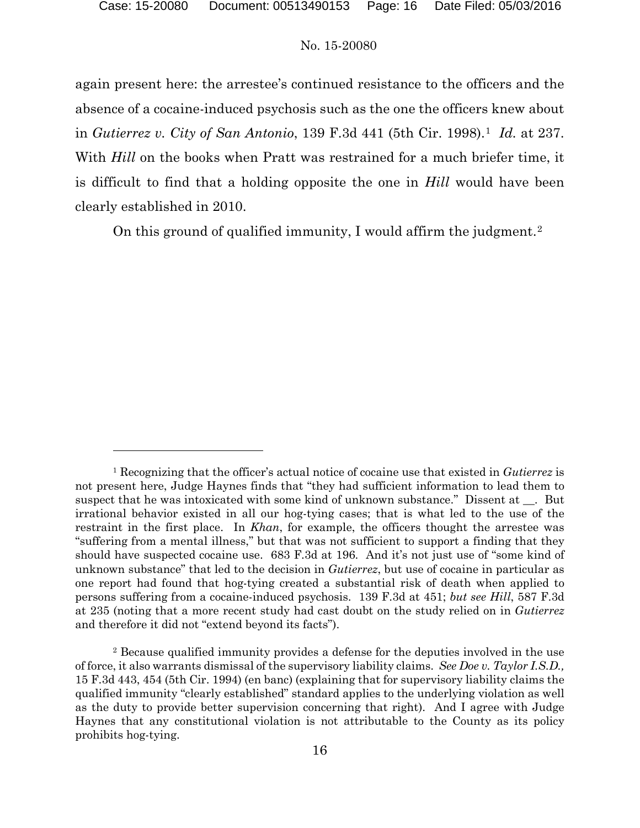#### No. 15-20080

again present here: the arrestee's continued resistance to the officers and the absence of a cocaine-induced psychosis such as the one the officers knew about in *Gutierrez v. City of San Antonio*, 139 F.3d 441 (5th Cir. 1998).[1](#page-15-0) *Id.* at 237. With *Hill* on the books when Pratt was restrained for a much briefer time, it is difficult to find that a holding opposite the one in *Hill* would have been clearly established in 2010.

On this ground of qualified immunity, I would affirm the judgment.[2](#page-15-1)

<span id="page-15-0"></span><sup>1</sup> Recognizing that the officer's actual notice of cocaine use that existed in *Gutierrez* is not present here, Judge Haynes finds that "they had sufficient information to lead them to suspect that he was intoxicated with some kind of unknown substance." Dissent at \_\_. But irrational behavior existed in all our hog-tying cases; that is what led to the use of the restraint in the first place. In *Khan*, for example, the officers thought the arrestee was "suffering from a mental illness," but that was not sufficient to support a finding that they should have suspected cocaine use. 683 F.3d at 196. And it's not just use of "some kind of unknown substance" that led to the decision in *Gutierrez*, but use of cocaine in particular as one report had found that hog-tying created a substantial risk of death when applied to persons suffering from a cocaine-induced psychosis. 139 F.3d at 451; *but see Hill*, 587 F.3d at 235 (noting that a more recent study had cast doubt on the study relied on in *Gutierrez*  and therefore it did not "extend beyond its facts").

<span id="page-15-1"></span><sup>2</sup> Because qualified immunity provides a defense for the deputies involved in the use of force, it also warrants dismissal of the supervisory liability claims. *See Doe v. Taylor I.S.D.,*  15 F.3d 443, 454 (5th Cir. 1994) (en banc) (explaining that for supervisory liability claims the qualified immunity "clearly established" standard applies to the underlying violation as well as the duty to provide better supervision concerning that right). And I agree with Judge Haynes that any constitutional violation is not attributable to the County as its policy prohibits hog-tying.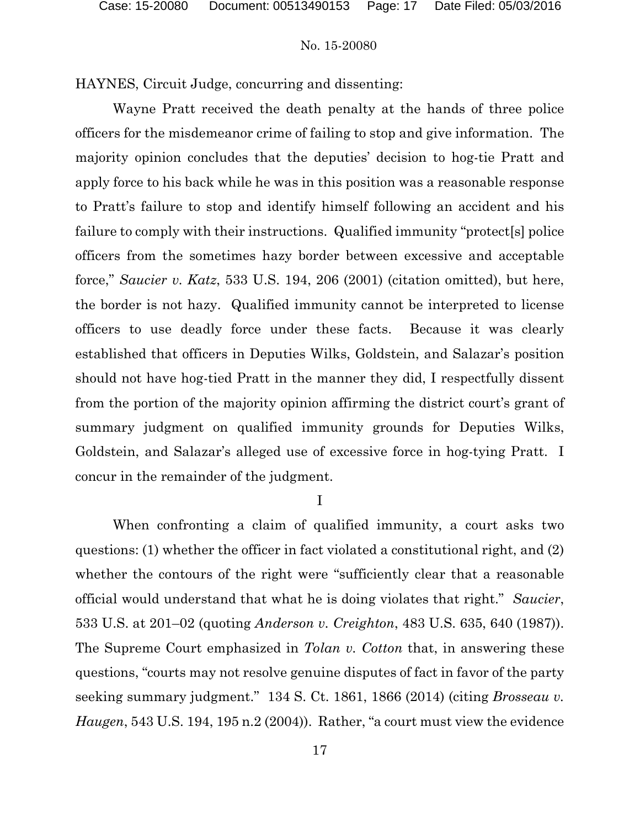HAYNES, Circuit Judge, concurring and dissenting:

Wayne Pratt received the death penalty at the hands of three police officers for the misdemeanor crime of failing to stop and give information. The majority opinion concludes that the deputies' decision to hog-tie Pratt and apply force to his back while he was in this position was a reasonable response to Pratt's failure to stop and identify himself following an accident and his failure to comply with their instructions. Qualified immunity "protect[s] police officers from the sometimes hazy border between excessive and acceptable force," *Saucier v. Katz*, 533 U.S. 194, 206 (2001) (citation omitted), but here, the border is not hazy. Qualified immunity cannot be interpreted to license officers to use deadly force under these facts. Because it was clearly established that officers in Deputies Wilks, Goldstein, and Salazar's position should not have hog-tied Pratt in the manner they did, I respectfully dissent from the portion of the majority opinion affirming the district court's grant of summary judgment on qualified immunity grounds for Deputies Wilks, Goldstein, and Salazar's alleged use of excessive force in hog-tying Pratt. I concur in the remainder of the judgment.

I

When confronting a claim of qualified immunity, a court asks two questions: (1) whether the officer in fact violated a constitutional right, and (2) whether the contours of the right were "sufficiently clear that a reasonable official would understand that what he is doing violates that right." *Saucier*, 533 U.S. at 201–02 (quoting *Anderson v. Creighton*, 483 U.S. 635, 640 (1987)). The Supreme Court emphasized in *Tolan v. Cotton* that, in answering these questions, "courts may not resolve genuine disputes of fact in favor of the party seeking summary judgment." 134 S. Ct. 1861, 1866 (2014) (citing *Brosseau v. Haugen*, 543 U.S. 194, 195 n.2 (2004)). Rather, "a court must view the evidence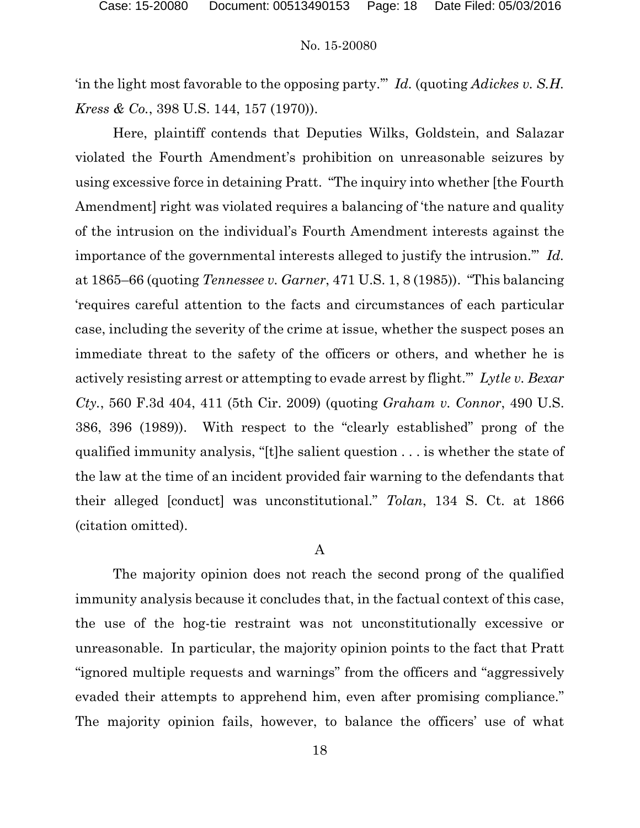'in the light most favorable to the opposing party.'" *Id.* (quoting *Adickes v. S.H. Kress & Co.*, 398 U.S. 144, 157 (1970)).

Here, plaintiff contends that Deputies Wilks, Goldstein, and Salazar violated the Fourth Amendment's prohibition on unreasonable seizures by using excessive force in detaining Pratt. "The inquiry into whether [the Fourth Amendment] right was violated requires a balancing of 'the nature and quality of the intrusion on the individual's Fourth Amendment interests against the importance of the governmental interests alleged to justify the intrusion.'" *Id.* at 1865–66 (quoting *Tennessee v. Garner*, 471 U.S. 1, 8 (1985)). "This balancing 'requires careful attention to the facts and circumstances of each particular case, including the severity of the crime at issue, whether the suspect poses an immediate threat to the safety of the officers or others, and whether he is actively resisting arrest or attempting to evade arrest by flight.'" *Lytle v. Bexar Cty.*, 560 F.3d 404, 411 (5th Cir. 2009) (quoting *Graham v. Connor*, 490 U.S. 386, 396 (1989)). With respect to the "clearly established" prong of the qualified immunity analysis, "[t]he salient question . . . is whether the state of the law at the time of an incident provided fair warning to the defendants that their alleged [conduct] was unconstitutional." *Tolan*, 134 S. Ct. at 1866 (citation omitted).

#### A

The majority opinion does not reach the second prong of the qualified immunity analysis because it concludes that, in the factual context of this case, the use of the hog-tie restraint was not unconstitutionally excessive or unreasonable. In particular, the majority opinion points to the fact that Pratt "ignored multiple requests and warnings" from the officers and "aggressively evaded their attempts to apprehend him, even after promising compliance." The majority opinion fails, however, to balance the officers' use of what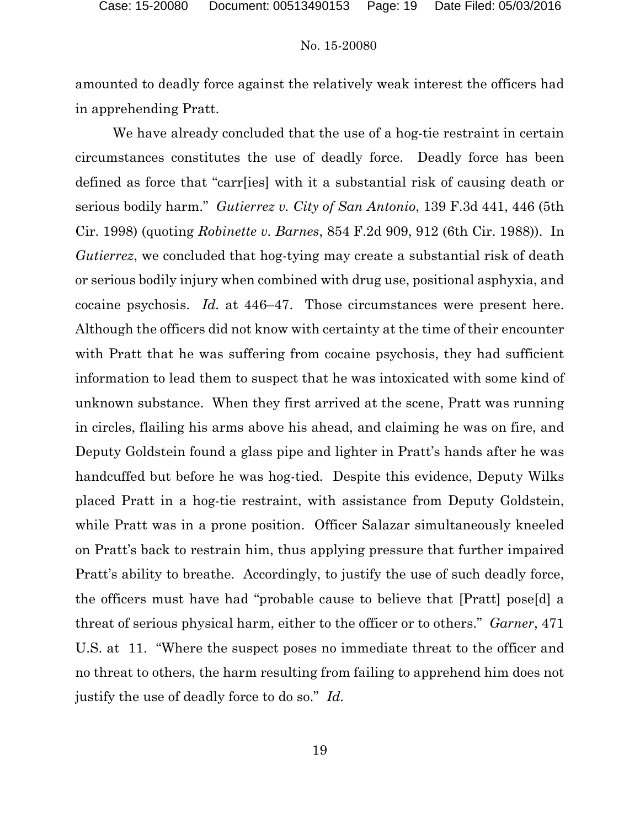amounted to deadly force against the relatively weak interest the officers had in apprehending Pratt.

We have already concluded that the use of a hog-tie restraint in certain circumstances constitutes the use of deadly force. Deadly force has been defined as force that "carr[ies] with it a substantial risk of causing death or serious bodily harm." *Gutierrez v. City of San Antonio*, 139 F.3d 441, 446 (5th Cir. 1998) (quoting *Robinette v. Barnes*, 854 F.2d 909, 912 (6th Cir. 1988)). In *Gutierrez*, we concluded that hog-tying may create a substantial risk of death or serious bodily injury when combined with drug use, positional asphyxia, and cocaine psychosis. *Id.* at 446–47. Those circumstances were present here. Although the officers did not know with certainty at the time of their encounter with Pratt that he was suffering from cocaine psychosis, they had sufficient information to lead them to suspect that he was intoxicated with some kind of unknown substance. When they first arrived at the scene, Pratt was running in circles, flailing his arms above his ahead, and claiming he was on fire, and Deputy Goldstein found a glass pipe and lighter in Pratt's hands after he was handcuffed but before he was hog-tied. Despite this evidence, Deputy Wilks placed Pratt in a hog-tie restraint, with assistance from Deputy Goldstein, while Pratt was in a prone position. Officer Salazar simultaneously kneeled on Pratt's back to restrain him, thus applying pressure that further impaired Pratt's ability to breathe. Accordingly, to justify the use of such deadly force, the officers must have had "probable cause to believe that [Pratt] pose[d] a threat of serious physical harm, either to the officer or to others." *Garner*, 471 U.S. at 11. "Where the suspect poses no immediate threat to the officer and no threat to others, the harm resulting from failing to apprehend him does not justify the use of deadly force to do so." *Id.*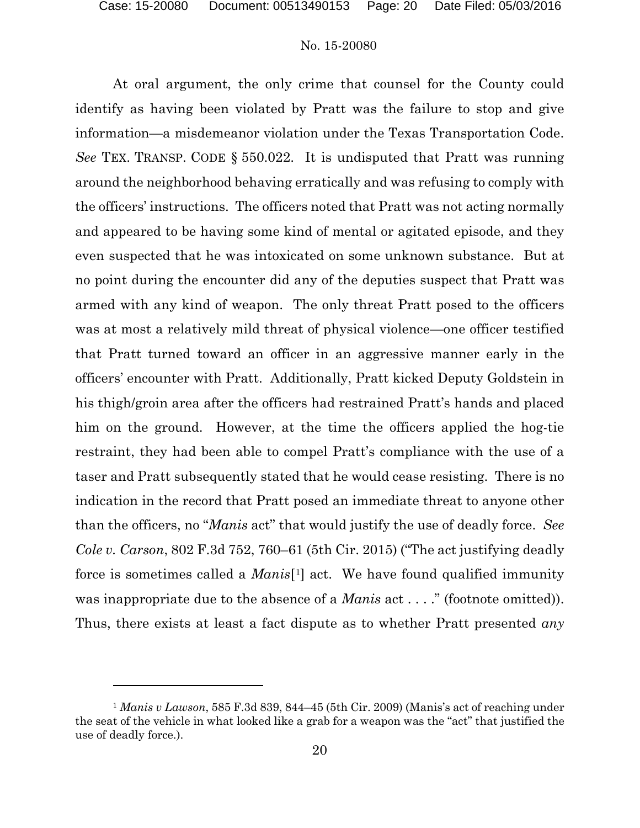l

#### No. 15-20080

At oral argument, the only crime that counsel for the County could identify as having been violated by Pratt was the failure to stop and give information—a misdemeanor violation under the Texas Transportation Code. *See* TEX. TRANSP. CODE § 550.022. It is undisputed that Pratt was running around the neighborhood behaving erratically and was refusing to comply with the officers' instructions. The officers noted that Pratt was not acting normally and appeared to be having some kind of mental or agitated episode, and they even suspected that he was intoxicated on some unknown substance. But at no point during the encounter did any of the deputies suspect that Pratt was armed with any kind of weapon. The only threat Pratt posed to the officers was at most a relatively mild threat of physical violence—one officer testified that Pratt turned toward an officer in an aggressive manner early in the officers' encounter with Pratt. Additionally, Pratt kicked Deputy Goldstein in his thigh/groin area after the officers had restrained Pratt's hands and placed him on the ground. However, at the time the officers applied the hog-tie restraint, they had been able to compel Pratt's compliance with the use of a taser and Pratt subsequently stated that he would cease resisting. There is no indication in the record that Pratt posed an immediate threat to anyone other than the officers, no "*Manis* act" that would justify the use of deadly force. *See Cole v. Carson*, 802 F.3d 752, 760–61 (5th Cir. 2015) ("The act justifying deadly force is sometimes called a *Manis*[[1\]](#page-19-0) act. We have found qualified immunity was inappropriate due to the absence of a *Manis* act . . . ." (footnote omitted)). Thus, there exists at least a fact dispute as to whether Pratt presented *any*

<span id="page-19-0"></span><sup>1</sup> *Manis v Lawson*, 585 F.3d 839, 844–45 (5th Cir. 2009) (Manis's act of reaching under the seat of the vehicle in what looked like a grab for a weapon was the "act" that justified the use of deadly force.).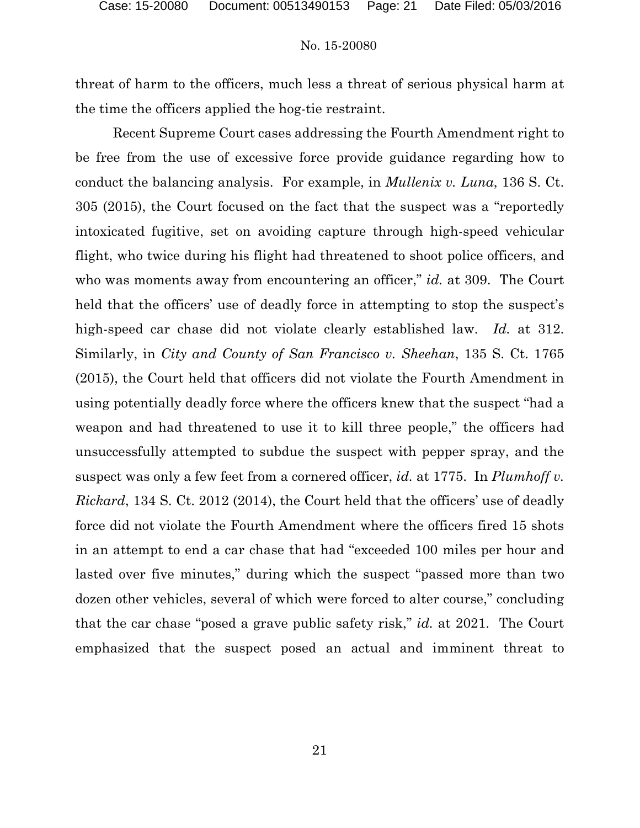threat of harm to the officers, much less a threat of serious physical harm at the time the officers applied the hog-tie restraint.

Recent Supreme Court cases addressing the Fourth Amendment right to be free from the use of excessive force provide guidance regarding how to conduct the balancing analysis. For example, in *Mullenix v. Luna*, 136 S. Ct. 305 (2015), the Court focused on the fact that the suspect was a "reportedly intoxicated fugitive, set on avoiding capture through high-speed vehicular flight, who twice during his flight had threatened to shoot police officers, and who was moments away from encountering an officer," *id.* at 309. The Court held that the officers' use of deadly force in attempting to stop the suspect's high-speed car chase did not violate clearly established law. *Id.* at 312. Similarly, in *City and County of San Francisco v. Sheehan*, 135 S. Ct. 1765 (2015), the Court held that officers did not violate the Fourth Amendment in using potentially deadly force where the officers knew that the suspect "had a weapon and had threatened to use it to kill three people," the officers had unsuccessfully attempted to subdue the suspect with pepper spray, and the suspect was only a few feet from a cornered officer, *id.* at 1775. In *Plumhoff v. Rickard*, 134 S. Ct. 2012 (2014), the Court held that the officers' use of deadly force did not violate the Fourth Amendment where the officers fired 15 shots in an attempt to end a car chase that had "exceeded 100 miles per hour and lasted over five minutes," during which the suspect "passed more than two dozen other vehicles, several of which were forced to alter course," concluding that the car chase "posed a grave public safety risk," *id.* at 2021. The Court emphasized that the suspect posed an actual and imminent threat to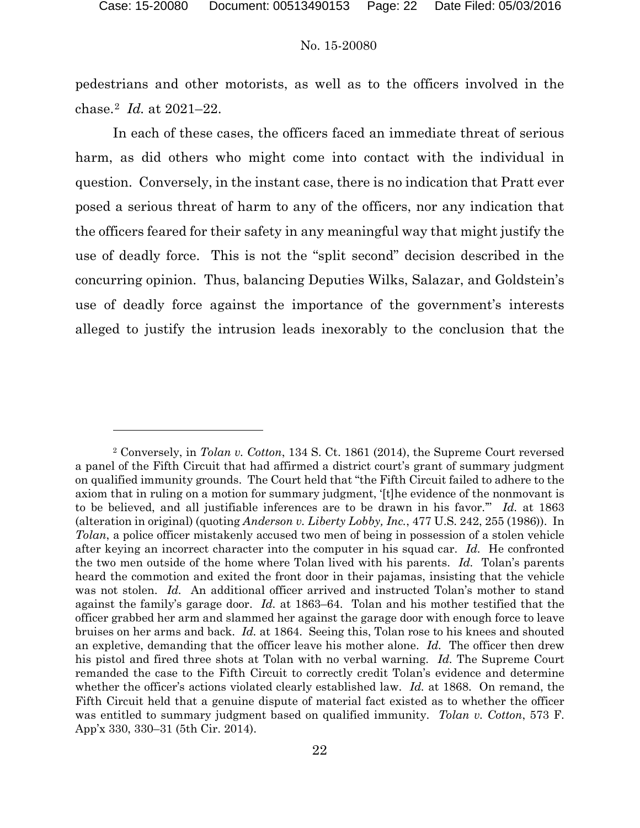l

#### No. 15-20080

pedestrians and other motorists, as well as to the officers involved in the chase.[2](#page-21-0) *Id.* at 2021–22.

In each of these cases, the officers faced an immediate threat of serious harm, as did others who might come into contact with the individual in question. Conversely, in the instant case, there is no indication that Pratt ever posed a serious threat of harm to any of the officers, nor any indication that the officers feared for their safety in any meaningful way that might justify the use of deadly force. This is not the "split second" decision described in the concurring opinion. Thus, balancing Deputies Wilks, Salazar, and Goldstein's use of deadly force against the importance of the government's interests alleged to justify the intrusion leads inexorably to the conclusion that the

<span id="page-21-0"></span><sup>2</sup> Conversely, in *Tolan v. Cotton*, 134 S. Ct. 1861 (2014), the Supreme Court reversed a panel of the Fifth Circuit that had affirmed a district court's grant of summary judgment on qualified immunity grounds. The Court held that "the Fifth Circuit failed to adhere to the axiom that in ruling on a motion for summary judgment, '[t]he evidence of the nonmovant is to be believed, and all justifiable inferences are to be drawn in his favor.'" *Id.* at 1863 (alteration in original) (quoting *Anderson v. Liberty Lobby, Inc.*, 477 U.S. 242, 255 (1986)). In *Tolan*, a police officer mistakenly accused two men of being in possession of a stolen vehicle after keying an incorrect character into the computer in his squad car. *Id.* He confronted the two men outside of the home where Tolan lived with his parents. *Id.* Tolan's parents heard the commotion and exited the front door in their pajamas, insisting that the vehicle was not stolen. *Id.* An additional officer arrived and instructed Tolan's mother to stand against the family's garage door. *Id.* at 1863–64. Tolan and his mother testified that the officer grabbed her arm and slammed her against the garage door with enough force to leave bruises on her arms and back. *Id.* at 1864. Seeing this, Tolan rose to his knees and shouted an expletive, demanding that the officer leave his mother alone. *Id.* The officer then drew his pistol and fired three shots at Tolan with no verbal warning. *Id.* The Supreme Court remanded the case to the Fifth Circuit to correctly credit Tolan's evidence and determine whether the officer's actions violated clearly established law. *Id.* at 1868. On remand, the Fifth Circuit held that a genuine dispute of material fact existed as to whether the officer was entitled to summary judgment based on qualified immunity. *Tolan v. Cotton*, 573 F. App'x 330, 330–31 (5th Cir. 2014).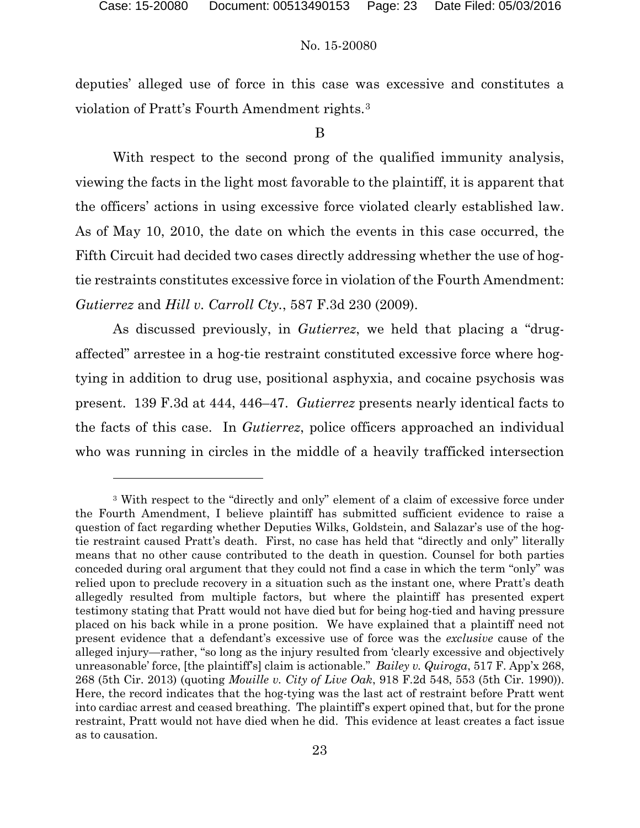l

#### No. 15-20080

deputies' alleged use of force in this case was excessive and constitutes a violation of Pratt's Fourth Amendment rights.[3](#page-22-0)

## B

With respect to the second prong of the qualified immunity analysis, viewing the facts in the light most favorable to the plaintiff, it is apparent that the officers' actions in using excessive force violated clearly established law. As of May 10, 2010, the date on which the events in this case occurred, the Fifth Circuit had decided two cases directly addressing whether the use of hogtie restraints constitutes excessive force in violation of the Fourth Amendment: *Gutierrez* and *Hill v. Carroll Cty.*, 587 F.3d 230 (2009).

As discussed previously, in *Gutierrez*, we held that placing a "drugaffected" arrestee in a hog-tie restraint constituted excessive force where hogtying in addition to drug use, positional asphyxia, and cocaine psychosis was present. 139 F.3d at 444, 446–47. *Gutierrez* presents nearly identical facts to the facts of this case. In *Gutierrez*, police officers approached an individual who was running in circles in the middle of a heavily trafficked intersection

<span id="page-22-0"></span><sup>&</sup>lt;sup>3</sup> With respect to the "directly and only" element of a claim of excessive force under the Fourth Amendment, I believe plaintiff has submitted sufficient evidence to raise a question of fact regarding whether Deputies Wilks, Goldstein, and Salazar's use of the hogtie restraint caused Pratt's death. First, no case has held that "directly and only" literally means that no other cause contributed to the death in question. Counsel for both parties conceded during oral argument that they could not find a case in which the term "only" was relied upon to preclude recovery in a situation such as the instant one, where Pratt's death allegedly resulted from multiple factors, but where the plaintiff has presented expert testimony stating that Pratt would not have died but for being hog-tied and having pressure placed on his back while in a prone position. We have explained that a plaintiff need not present evidence that a defendant's excessive use of force was the *exclusive* cause of the alleged injury—rather, "so long as the injury resulted from 'clearly excessive and objectively unreasonable' force, [the plaintiff's] claim is actionable." *Bailey v. Quiroga*, 517 F. App'x 268, 268 (5th Cir. 2013) (quoting *Mouille v. City of Live Oak*, 918 F.2d 548, 553 (5th Cir. 1990)). Here, the record indicates that the hog-tying was the last act of restraint before Pratt went into cardiac arrest and ceased breathing. The plaintiff's expert opined that, but for the prone restraint, Pratt would not have died when he did. This evidence at least creates a fact issue as to causation.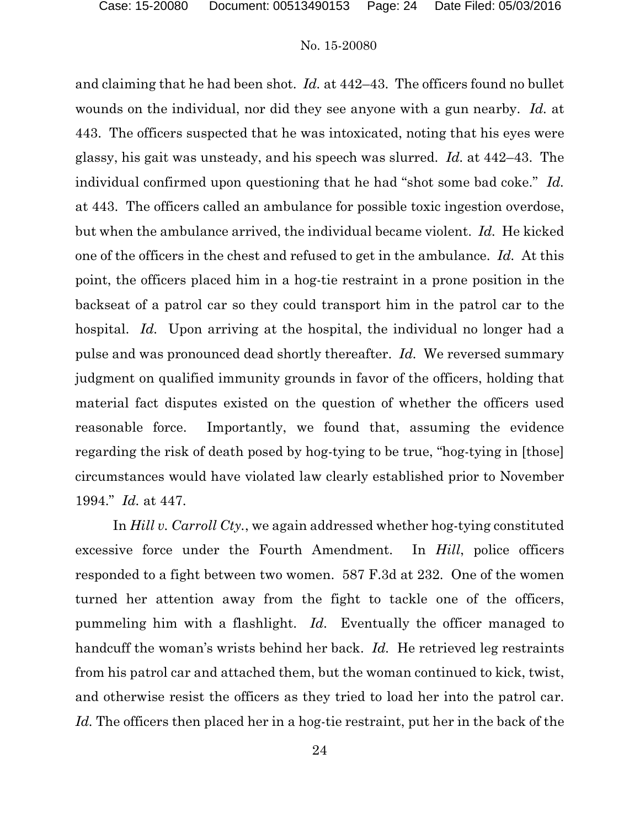and claiming that he had been shot. *Id.* at 442–43. The officers found no bullet wounds on the individual, nor did they see anyone with a gun nearby. *Id.* at 443. The officers suspected that he was intoxicated, noting that his eyes were glassy, his gait was unsteady, and his speech was slurred. *Id.* at 442–43. The individual confirmed upon questioning that he had "shot some bad coke." *Id.* at 443. The officers called an ambulance for possible toxic ingestion overdose, but when the ambulance arrived, the individual became violent. *Id.* He kicked one of the officers in the chest and refused to get in the ambulance. *Id.* At this point, the officers placed him in a hog-tie restraint in a prone position in the backseat of a patrol car so they could transport him in the patrol car to the hospital. *Id.* Upon arriving at the hospital, the individual no longer had a pulse and was pronounced dead shortly thereafter. *Id.* We reversed summary judgment on qualified immunity grounds in favor of the officers, holding that material fact disputes existed on the question of whether the officers used reasonable force. Importantly, we found that, assuming the evidence regarding the risk of death posed by hog-tying to be true, "hog-tying in [those] circumstances would have violated law clearly established prior to November 1994." *Id.* at 447.

In *Hill v. Carroll Cty.*, we again addressed whether hog-tying constituted excessive force under the Fourth Amendment. In *Hill*, police officers responded to a fight between two women. 587 F.3d at 232. One of the women turned her attention away from the fight to tackle one of the officers, pummeling him with a flashlight. *Id.* Eventually the officer managed to handcuff the woman's wrists behind her back. *Id.* He retrieved leg restraints from his patrol car and attached them, but the woman continued to kick, twist, and otherwise resist the officers as they tried to load her into the patrol car. *Id.* The officers then placed her in a hog-tie restraint, put her in the back of the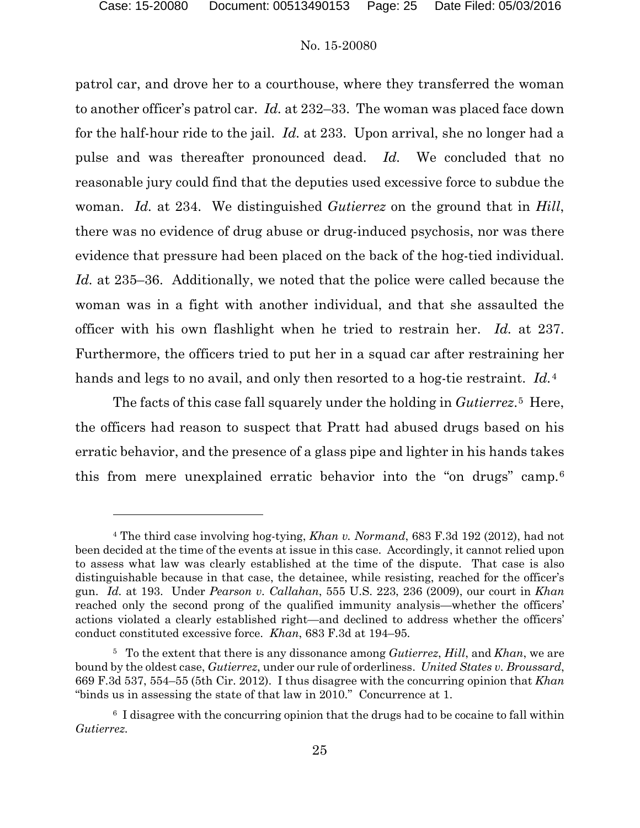l

#### No. 15-20080

patrol car, and drove her to a courthouse, where they transferred the woman to another officer's patrol car. *Id.* at 232–33. The woman was placed face down for the half-hour ride to the jail. *Id.* at 233. Upon arrival, she no longer had a pulse and was thereafter pronounced dead. *Id.* We concluded that no reasonable jury could find that the deputies used excessive force to subdue the woman. *Id.* at 234. We distinguished *Gutierrez* on the ground that in *Hill*, there was no evidence of drug abuse or drug-induced psychosis, nor was there evidence that pressure had been placed on the back of the hog-tied individual. *Id.* at 235–36. Additionally, we noted that the police were called because the woman was in a fight with another individual, and that she assaulted the officer with his own flashlight when he tried to restrain her. *Id.* at 237. Furthermore, the officers tried to put her in a squad car after restraining her hands and legs to no avail, and only then resorted to a hog-tie restraint. *Id.*[4](#page-24-0) 

The facts of this case fall squarely under the holding in *Gutierrez*.[5](#page-24-1) Here, the officers had reason to suspect that Pratt had abused drugs based on his erratic behavior, and the presence of a glass pipe and lighter in his hands takes this from mere unexplained erratic behavior into the "on drugs" camp.[6](#page-24-2)

<span id="page-24-0"></span><sup>4</sup> The third case involving hog-tying, *Khan v. Normand*, 683 F.3d 192 (2012), had not been decided at the time of the events at issue in this case. Accordingly, it cannot relied upon to assess what law was clearly established at the time of the dispute. That case is also distinguishable because in that case, the detainee, while resisting, reached for the officer's gun. *Id.* at 193. Under *Pearson v. Callahan*, 555 U.S. 223, 236 (2009), our court in *Khan* reached only the second prong of the qualified immunity analysis—whether the officers' actions violated a clearly established right—and declined to address whether the officers' conduct constituted excessive force. *Khan*, 683 F.3d at 194–95.

<span id="page-24-1"></span><sup>5</sup> To the extent that there is any dissonance among *Gutierrez*, *Hill*, and *Khan*, we are bound by the oldest case, *Gutierrez*, under our rule of orderliness. *United States v. Broussard*, 669 F.3d 537, 554–55 (5th Cir. 2012). I thus disagree with the concurring opinion that *Khan*  "binds us in assessing the state of that law in 2010." Concurrence at 1.

<span id="page-24-2"></span><sup>6</sup> I disagree with the concurring opinion that the drugs had to be cocaine to fall within *Gutierrez.*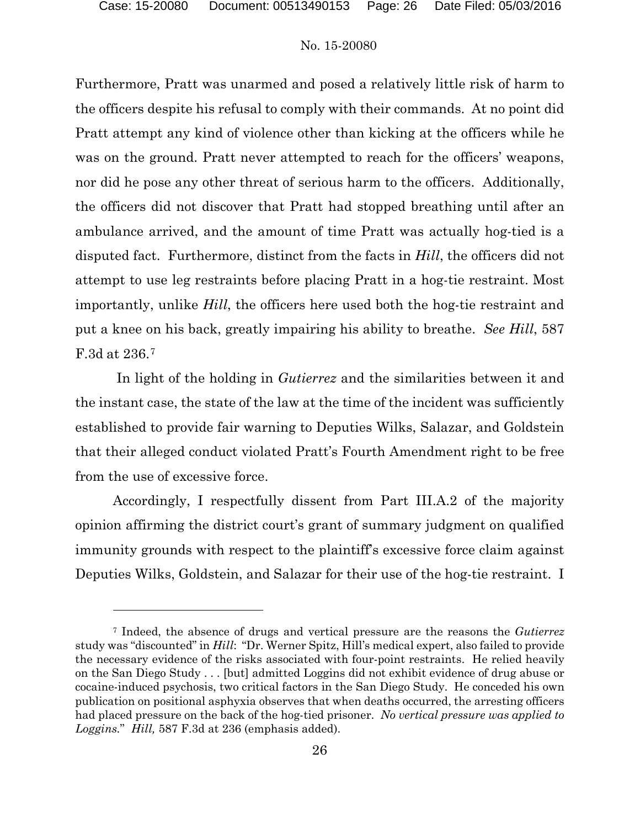#### No. 15-20080

Furthermore, Pratt was unarmed and posed a relatively little risk of harm to the officers despite his refusal to comply with their commands. At no point did Pratt attempt any kind of violence other than kicking at the officers while he was on the ground. Pratt never attempted to reach for the officers' weapons, nor did he pose any other threat of serious harm to the officers. Additionally, the officers did not discover that Pratt had stopped breathing until after an ambulance arrived, and the amount of time Pratt was actually hog-tied is a disputed fact. Furthermore, distinct from the facts in *Hill*, the officers did not attempt to use leg restraints before placing Pratt in a hog-tie restraint. Most importantly, unlike *Hill*, the officers here used both the hog-tie restraint and put a knee on his back, greatly impairing his ability to breathe. *See Hill*, 587 F.3d at 236.[7](#page-25-0)

In light of the holding in *Gutierrez* and the similarities between it and the instant case, the state of the law at the time of the incident was sufficiently established to provide fair warning to Deputies Wilks, Salazar, and Goldstein that their alleged conduct violated Pratt's Fourth Amendment right to be free from the use of excessive force.

Accordingly, I respectfully dissent from Part III.A.2 of the majority opinion affirming the district court's grant of summary judgment on qualified immunity grounds with respect to the plaintiff's excessive force claim against Deputies Wilks, Goldstein, and Salazar for their use of the hog-tie restraint. I

<span id="page-25-0"></span><sup>7</sup> Indeed, the absence of drugs and vertical pressure are the reasons the *Gutierrez* study was "discounted" in *Hill*: "Dr. Werner Spitz, Hill's medical expert, also failed to provide the necessary evidence of the risks associated with four-point restraints. He relied heavily on the San Diego Study . . . [but] admitted Loggins did not exhibit evidence of drug abuse or cocaine-induced psychosis, two critical factors in the San Diego Study. He conceded his own publication on positional asphyxia observes that when deaths occurred, the arresting officers had placed pressure on the back of the hog-tied prisoner. *No vertical pressure was applied to Loggins.*" *Hill,* 587 F.3d at 236 (emphasis added).